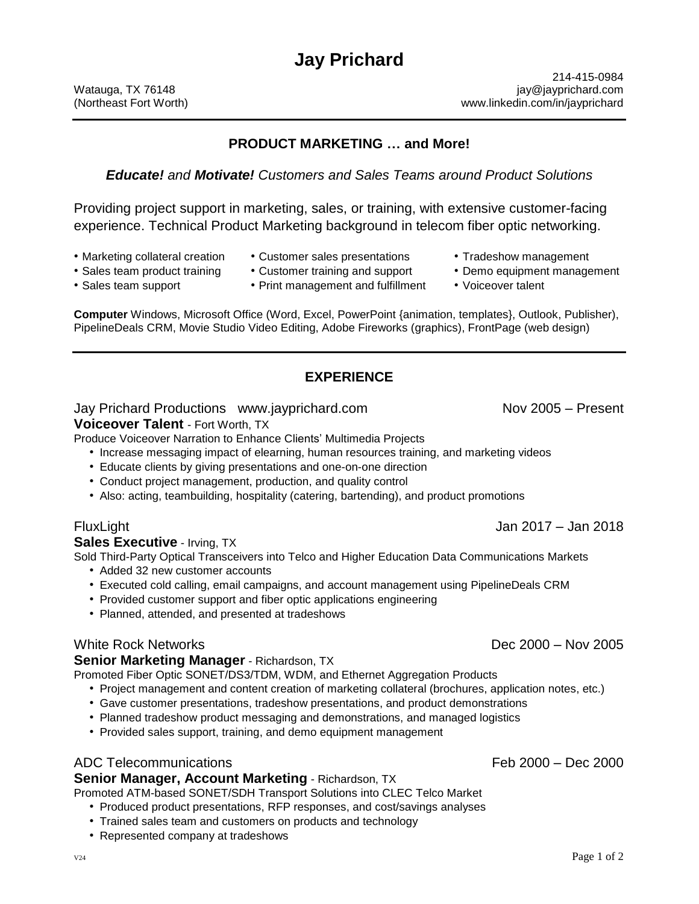# **PRODUCT MARKETING … and More!**

## *Educate! and Motivate! Customers and Sales Teams around Product Solutions*

Providing project support in marketing, sales, or training, with extensive customer-facing experience. Technical Product Marketing background in telecom fiber optic networking.

- 
- Marketing collateral creation Customer sales presentations Tradeshow management
- -
	-
- -

**Computer** Windows, Microsoft Office (Word, Excel, PowerPoint {animation, templates}, Outlook, Publisher), PipelineDeals CRM, Movie Studio Video Editing, Adobe Fireworks (graphics), FrontPage (web design)

# **EXPERIENCE**

### Jay Prichard Productions www.jayprichard.com Nov 2005 – Present

### **Voiceover Talent** - Fort Worth, TX

Produce Voiceover Narration to Enhance Clients' Multimedia Projects

- Increase messaging impact of elearning, human resources training, and marketing videos
- Educate clients by giving presentations and one-on-one direction
- Conduct project management, production, and quality control
- Also: acting, teambuilding, hospitality (catering, bartending), and product promotions

### **Sales Executive** - Irving, TX

Sold Third-Party Optical Transceivers into Telco and Higher Education Data Communications Markets

- Added 32 new customer accounts
- Executed cold calling, email campaigns, and account management using PipelineDeals CRM
- Provided customer support and fiber optic applications engineering
- Planned, attended, and presented at tradeshows

#### **Senior Marketing Manager** - Richardson, TX

Promoted Fiber Optic SONET/DS3/TDM, WDM, and Ethernet Aggregation Products

- Project management and content creation of marketing collateral (brochures, application notes, etc.)
- Gave customer presentations, tradeshow presentations, and product demonstrations
- Planned tradeshow product messaging and demonstrations, and managed logistics
- Provided sales support, training, and demo equipment management

# ADC Telecommunications Feb 2000 – Dec 2000

### **Senior Manager, Account Marketing** - Richardson, TX

Promoted ATM-based SONET/SDH Transport Solutions into CLEC Telco Market

- Produced product presentations, RFP responses, and cost/savings analyses
- Trained sales team and customers on products and technology
- Represented company at tradeshows

- Sales team product training Customer training and support Demo equipment management
	-

FluxLight Jan 2017 – Jan 2018

White Rock Networks Dec 2000 – Nov 2005

- 
- Sales team support Print management and fulfillment Voiceover talent
	-
	-